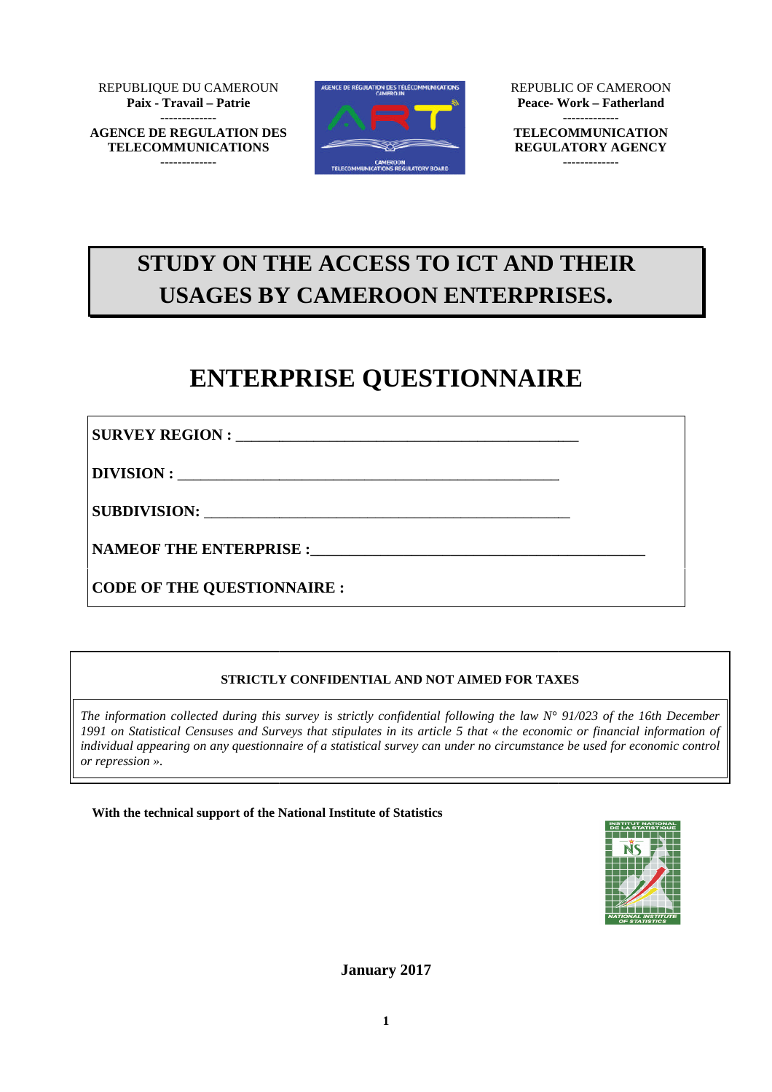REPUBLIQUE DU CAMEROUN **Paix - Travail – Patrie** ------------- **AGENCE DE REGULATION DES**

**TELECOMMUNICATIONS** -------------





REPUBLIC OF CAMEROON **Peace- Work** -------------

**TELECOMMUNICATION REGULATORY AGENCY** -------------

 $\overline{\phantom{a}}$ 

\_

# **STUDY ON THE ACCESS TO ICT AND THEIR USAGES BY CAMEROON ENTERPRISES. \_\_\_\_\_\_\_\_\_\_\_\_\_\_**OF **– Fatherland**

# **ENTERPRISE QUESTIONNAIRE**

**SURVEY REGION :** \_\_\_\_\_\_\_\_\_\_\_\_\_\_\_\_\_\_\_\_\_\_\_\_\_\_\_\_\_\_\_\_\_\_\_\_\_\_\_\_ \_\_\_\_\_\_\_\_\_\_\_\_\_\_\_\_\_\_\_\_\_\_\_\_\_\_\_\_\_\_\_\_\_\_\_\_\_\_\_\_\_\_

**DIVISION :** \_\_\_\_\_\_\_\_\_\_\_\_\_\_\_\_\_\_\_\_\_\_\_\_\_\_\_\_\_\_ \_\_\_\_\_\_\_\_\_\_\_\_\_\_\_\_\_\_\_\_\_\_\_\_\_\_\_\_\_\_\_\_\_\_\_\_\_\_\_\_\_\_\_\_\_\_\_\_\_

SUBDIVISION:

**NAMEOF THE ENTERPRISE RPRISE :\_\_\_\_\_\_\_\_\_\_\_\_\_\_\_\_\_\_\_\_\_\_\_\_\_\_\_\_\_\_\_\_\_\_\_\_\_\_\_\_\_\_\_**

**CODE OF THE QUESTIONNAIRE :**

# **STRICTLY CONFIDENTIAL AND NOT AIMED FOR TAXES AIMED FOR**

*The information collected during this survey is strictly confidential following the law N° 91/023 of the 16th December 1991 on Statistical Censuses and Surveys that stipulates in its article 5 that « the economic or financial information of individual appearing on any questionnaire of a statistical survey can under no circumstance be used for economic control or repression ».*

With the technical support of the National Institute of Statistics



**January 2017**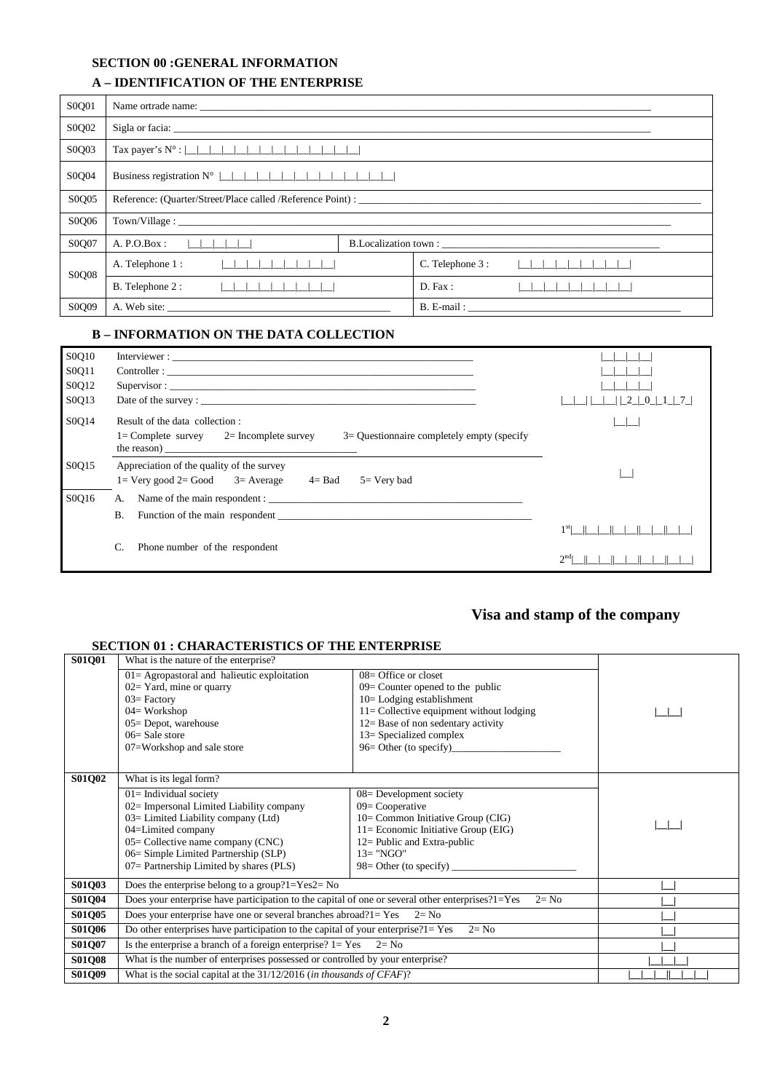#### **SECTION 00 :GENERAL INFORMATION**

### **A-IDENTIFICATION OF THE ENTERPRISE**

| S0Q01 |                                                                                 |  |                  |                   |  |
|-------|---------------------------------------------------------------------------------|--|------------------|-------------------|--|
| S0Q02 |                                                                                 |  |                  |                   |  |
| S0Q03 |                                                                                 |  |                  |                   |  |
| S0Q04 | Business registration $N^{\circ}$                            <br>$\blacksquare$ |  |                  |                   |  |
| S0Q05 | Reference: (Quarter/Street/Place called /Reference Point) :                     |  |                  |                   |  |
| S0Q06 |                                                                                 |  |                  |                   |  |
| S0Q07 | A. P.O.Box:<br>.                                                                |  |                  |                   |  |
| S0O08 | A. Telephone 1:<br>$\mathbf{1}$<br>$\sim$ 1                                     |  | C. Telephone 3 : | $\mathbf{1}$<br>. |  |
|       | B. Telephone 2:<br>$\perp$                                                      |  | D. Fax:          |                   |  |
| S0O09 | A. Web site:                                                                    |  |                  | B. E-mail:        |  |

#### **B - INFORMATION ON THE DATA COLLECTION**

| S0Q10 | Interviewer :                                                                                                                   |                 |
|-------|---------------------------------------------------------------------------------------------------------------------------------|-----------------|
| S0Q11 |                                                                                                                                 |                 |
| S0Q12 |                                                                                                                                 |                 |
| S0Q13 |                                                                                                                                 | $-2$ $-0$       |
| S0Q14 | Result of the data collection:                                                                                                  |                 |
|       | $1 =$ Complete survey $2 =$ Incomplete survey<br>$3=$ Questionnaire completely empty (specify                                   |                 |
| S0Q15 | Appreciation of the quality of the survey<br>$1 = \text{Very good } 2 = \text{Good}$ 3 = Average<br>$4 = Bad$<br>$5 =$ Very bad |                 |
| S0Q16 | Name of the main respondent :<br>А.                                                                                             |                 |
|       | Β.                                                                                                                              |                 |
|       |                                                                                                                                 | 1 <sup>st</sup> |
|       | C.<br>Phone number of the respondent                                                                                            | $2^{nd}$        |

# Visa and stamp of the company

#### **SECTION 01 : CHARACTERISTICS OF THE ENTERPRISE**

| <b>S01Q01</b> | What is the nature of the enterprise?                                                                        |                                             |  |  |
|---------------|--------------------------------------------------------------------------------------------------------------|---------------------------------------------|--|--|
|               | $01 =$ Agropastoral and halieutic exploitation                                                               | $08 =$ Office or closet                     |  |  |
|               | $02 =$ Yard, mine or quarry                                                                                  | $09$ Counter opened to the public           |  |  |
|               | $03 = Factory$                                                                                               | 10=Lodging establishment                    |  |  |
|               | $04 = Workshop$                                                                                              | $11 =$ Collective equipment without lodging |  |  |
|               | $05 =$ Depot, warehouse                                                                                      | $12 =$ Base of non sedentary activity       |  |  |
|               | $06=$ Sale store                                                                                             | 13 = Specialized complex                    |  |  |
|               | 07=Workshop and sale store                                                                                   | $96=$ Other (to specify)                    |  |  |
|               |                                                                                                              |                                             |  |  |
| S01Q02        | What is its legal form?                                                                                      |                                             |  |  |
|               | $01 =$ Individual society                                                                                    | 08= Development society                     |  |  |
|               | 02= Impersonal Limited Liability company                                                                     | $09 =$ Cooperative                          |  |  |
|               | 03 = Limited Liability company (Ltd)                                                                         | 10= Common Initiative Group (CIG)           |  |  |
|               | 04=Limited company                                                                                           | 11= Economic Initiative Group (EIG)         |  |  |
|               | $05 =$ Collective name company (CNC)                                                                         | 12= Public and Extra-public                 |  |  |
|               | 06 = Simple Limited Partnership (SLP)                                                                        | $13 = "NGO"$                                |  |  |
|               | $07 =$ Partnership Limited by shares (PLS)                                                                   |                                             |  |  |
| S01Q03        | Does the enterprise belong to a group? $1 = Yes2 = No$                                                       |                                             |  |  |
| S01Q04        | Does your enterprise have participation to the capital of one or several other enterprises?1=Yes<br>$2 = No$ |                                             |  |  |
| S01Q05        | Does your enterprise have one or several branches abroad? $1 = Yes$ $2 = No$                                 |                                             |  |  |
| <b>S01Q06</b> | Do other enterprises have participation to the capital of your enterprise? $1 = Yes$<br>$2 = No$             |                                             |  |  |
| S01Q07        | Is the enterprise a branch of a foreign enterprise? $1 = Yes$ $2 = No$                                       |                                             |  |  |
| <b>S01Q08</b> | What is the number of enterprises possessed or controlled by your enterprise?                                |                                             |  |  |
| <b>S01Q09</b> | What is the social capital at the $31/12/2016$ (in thousands of CFAF)?                                       |                                             |  |  |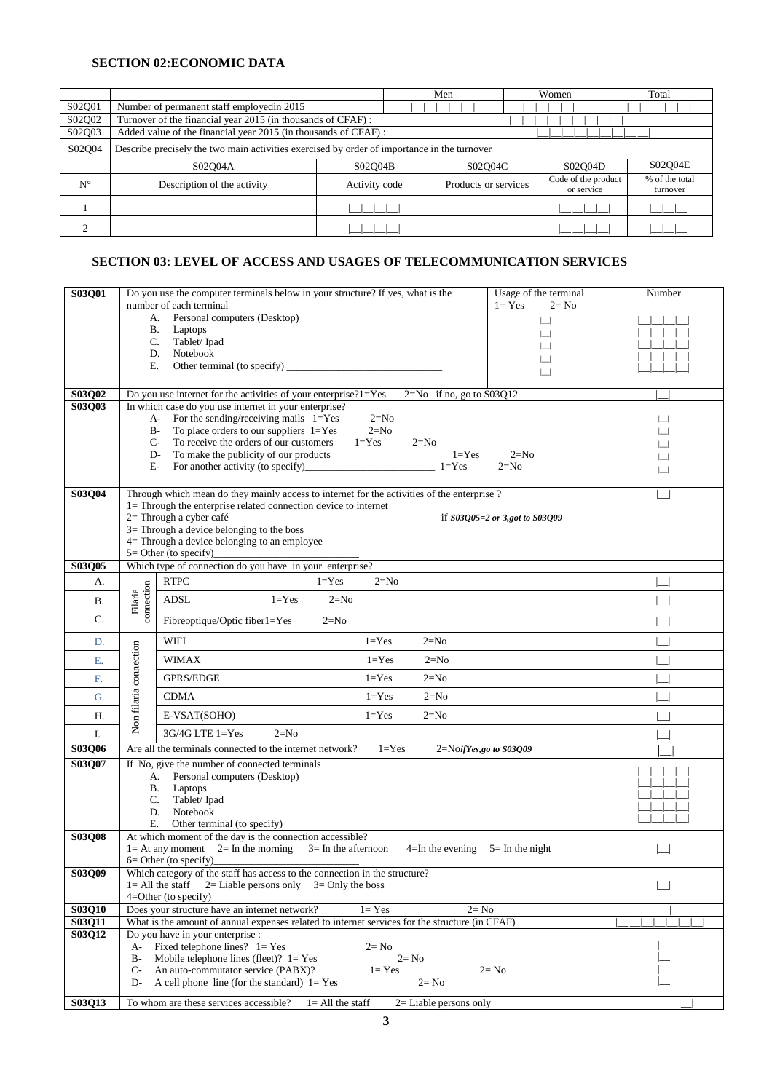#### **SECTION 02:ECONOMIC DATA**

|             |                                                                                             |               |  | Men                  |  | Women                             |  | Total                      |
|-------------|---------------------------------------------------------------------------------------------|---------------|--|----------------------|--|-----------------------------------|--|----------------------------|
| S02Q01      | Number of permanent staff employedin 2015                                                   |               |  |                      |  |                                   |  |                            |
| S02Q02      | Turnover of the financial year 2015 (in thousands of CFAF) :                                |               |  |                      |  |                                   |  |                            |
| S02Q03      | Added value of the financial year 2015 (in thousands of CFAF):                              |               |  |                      |  |                                   |  |                            |
| S02O04      | Describe precisely the two main activities exercised by order of importance in the turnover |               |  |                      |  |                                   |  |                            |
|             | S02O04A                                                                                     | S02O04B       |  | S02O04C              |  | S02O04D                           |  | S02O04E                    |
| $N^{\circ}$ | Description of the activity                                                                 | Activity code |  | Products or services |  | Code of the product<br>or service |  | % of the total<br>turnover |
|             |                                                                                             |               |  |                      |  |                                   |  |                            |
|             |                                                                                             |               |  |                      |  |                                   |  |                            |

# **SECTION 03: LEVEL OF ACCESS AND USAGES OF TELECOMMUNICATION SERVICES**

| S03Q01        |                                                                                                                                                                          | Do you use the computer terminals below in your structure? If yes, what is the<br>number of each terminal          | Usage of the terminal<br>$1 = Yes$<br>$2 = No$ | Number |
|---------------|--------------------------------------------------------------------------------------------------------------------------------------------------------------------------|--------------------------------------------------------------------------------------------------------------------|------------------------------------------------|--------|
|               |                                                                                                                                                                          | Personal computers (Desktop)<br>A.                                                                                 | $\Box$                                         |        |
|               | В.                                                                                                                                                                       | Laptops                                                                                                            |                                                |        |
|               | C.                                                                                                                                                                       | Tablet/Ipad<br>Notebook                                                                                            |                                                |        |
|               | D.<br>Е.                                                                                                                                                                 |                                                                                                                    |                                                |        |
|               |                                                                                                                                                                          |                                                                                                                    | $\overline{\phantom{0}}$                       |        |
| S03Q02        |                                                                                                                                                                          | Do you use internet for the activities of your enterprise?1=Yes<br>$2=No$ if no, go to $S03Q12$                    |                                                |        |
| S03Q03        |                                                                                                                                                                          | In which case do you use internet in your enterprise?<br>For the sending/receiving mails $1 = Yes$<br>$2=N0$<br>A- |                                                | ப      |
|               | $B-$                                                                                                                                                                     | To place orders to our suppliers $1 = Yes$<br>$2=N0$                                                               |                                                |        |
|               |                                                                                                                                                                          | To receive the orders of our customers<br>$C-$<br>$1 = Yes$<br>$2=N0$                                              |                                                |        |
|               | D-<br>E-                                                                                                                                                                 | To make the publicity of our products<br>$1 = Yes$<br>For another activity (to specify)<br>$1 = Yes$               | $2=N0$<br>$2=N0$                               |        |
|               |                                                                                                                                                                          |                                                                                                                    |                                                |        |
| S03Q04        |                                                                                                                                                                          | Through which mean do they mainly access to internet for the activities of the enterprise ?                        |                                                |        |
|               |                                                                                                                                                                          | 1= Through the enterprise related connection device to internet<br>2= Through a cyber café                         | if $S03Q05=2$ or 3,got to $S03Q09$             |        |
|               |                                                                                                                                                                          | 3= Through a device belonging to the boss                                                                          |                                                |        |
|               |                                                                                                                                                                          | 4= Through a device belonging to an employee<br>$5 =$ Other (to specify)                                           |                                                |        |
| S03Q05        |                                                                                                                                                                          | Which type of connection do you have in your enterprise?                                                           |                                                |        |
| А.            |                                                                                                                                                                          | <b>RTPC</b><br>$1 = Yes$<br>$2=N0$                                                                                 |                                                |        |
| В.            | connection<br>Filaria                                                                                                                                                    | ADSL<br>$1 = Yes$<br>$2=N0$                                                                                        |                                                |        |
| C.            |                                                                                                                                                                          | Fibreoptique/Optic fiber1=Yes<br>$2=N0$                                                                            |                                                |        |
| D.            |                                                                                                                                                                          | WIFI<br>$1 = Yes$<br>$2=N0$                                                                                        |                                                |        |
| E.            |                                                                                                                                                                          | <b>WIMAX</b><br>$1 = Yes$<br>$2=N0$                                                                                |                                                |        |
| F.            |                                                                                                                                                                          | Non filaria connection<br><b>GPRS/EDGE</b><br>$1 = Yes$<br>$2=N0$                                                  |                                                |        |
| G.            |                                                                                                                                                                          | <b>CDMA</b><br>$1 = Yes$<br>$2=N0$                                                                                 |                                                |        |
| Η.            |                                                                                                                                                                          | E-VSAT(SOHO)<br>$1 = Yes$<br>$2=N0$                                                                                |                                                |        |
| I.            |                                                                                                                                                                          | 3G/4G LTE 1=Yes<br>$2=N0$                                                                                          |                                                |        |
| S03Q06        |                                                                                                                                                                          | Are all the terminals connected to the internet network?<br>$1 = Yes$<br>$2=N$ OifYes,go to S03Q09                 |                                                |        |
| S03Q07        |                                                                                                                                                                          | If No, give the number of connected terminals<br>Personal computers (Desktop)<br>А.                                |                                                |        |
|               | В.                                                                                                                                                                       | Laptops                                                                                                            |                                                |        |
|               | C.                                                                                                                                                                       | Tablet/Ipad                                                                                                        |                                                |        |
|               | D.<br>Е.                                                                                                                                                                 | Notebook<br>Other terminal (to specify)                                                                            |                                                |        |
| S03Q08        |                                                                                                                                                                          | At which moment of the day is the connection accessible?                                                           |                                                |        |
|               |                                                                                                                                                                          | $1 = At$ any moment $2 = In$ the morning<br>$3=$ In the afternoon<br>$4=$ In the evening                           | $5 =$ In the night                             |        |
| <b>S03Q09</b> | $6=$ Other (to specify)<br>Which category of the staff has access to the connection in the structure?                                                                    |                                                                                                                    |                                                |        |
|               | $l = All$ the staff<br>2= Liable persons only $3=$ Only the boss                                                                                                         |                                                                                                                    |                                                |        |
| S03Q10        | $4=O$ ther (to specify)                                                                                                                                                  |                                                                                                                    |                                                |        |
| S03Q11        | Does your structure have an internet network?<br>$2 = No$<br>$1 = Yes$<br>What is the amount of annual expenses related to internet services for the structure (in CFAF) |                                                                                                                    |                                                |        |
| <b>S03Q12</b> | Do you have in your enterprise :                                                                                                                                         |                                                                                                                    |                                                |        |
|               | Fixed telephone lines? $1 = Yes$<br>A-<br>$2 = No$                                                                                                                       |                                                                                                                    |                                                |        |
|               | Mobile telephone lines (fleet)? $1 = Yes$<br>$B -$<br>$2 = No$<br>$C-$<br>An auto-commutator service (PABX)?<br>$1 = Yes$<br>$2 = No$                                    |                                                                                                                    |                                                |        |
|               | D-<br>A cell phone line (for the standard) $1 = Yes$<br>$2 = No$                                                                                                         |                                                                                                                    |                                                |        |
| S03Q13        | To whom are these services accessible?<br>$l = All$ the staff<br>$2=$ Liable persons only                                                                                |                                                                                                                    |                                                |        |